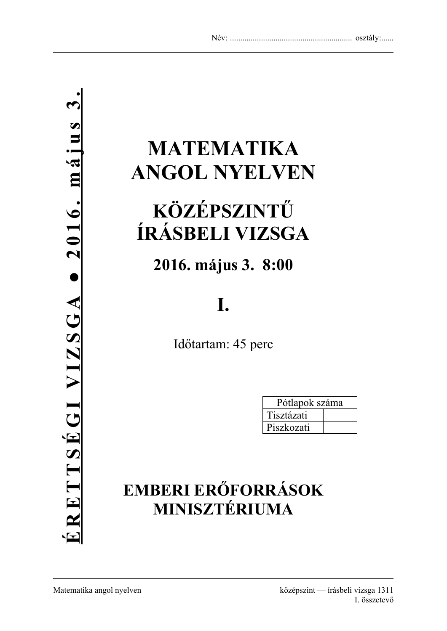# **MATEMATIKA ANGOL NYELVEN**

## **KÖZÉPSZINTŰ ÍRÁSBELI VIZSGA**

**2016. május 3. 8:00** 

**I.**

Időtartam: 45 perc

| Pótlapok száma |  |  |
|----------------|--|--|
| Tisztázati     |  |  |
| Piszkozati     |  |  |

## **EMBERI ERŐFORRÁSOK MINISZTÉRIUMA**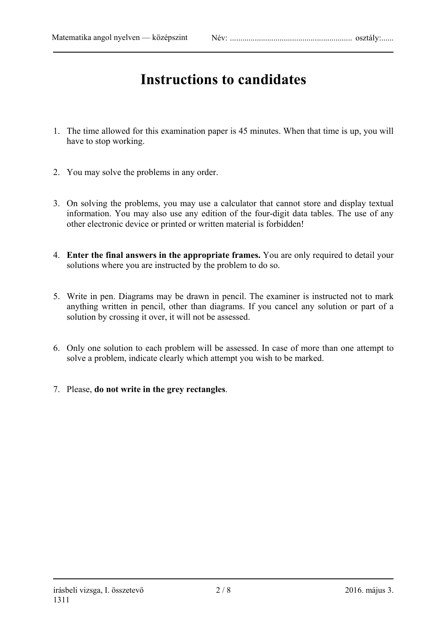### **Instructions to candidates**

- 1. The time allowed for this examination paper is 45 minutes. When that time is up, you will have to stop working.
- 2. You may solve the problems in any order.
- 3. On solving the problems, you may use a calculator that cannot store and display textual information. You may also use any edition of the four-digit data tables. The use of any other electronic device or printed or written material is forbidden!
- 4. **Enter the final answers in the appropriate frames.** You are only required to detail your solutions where you are instructed by the problem to do so.
- 5. Write in pen. Diagrams may be drawn in pencil. The examiner is instructed not to mark anything written in pencil, other than diagrams. If you cancel any solution or part of a solution by crossing it over, it will not be assessed.
- 6. Only one solution to each problem will be assessed. In case of more than one attempt to solve a problem, indicate clearly which attempt you wish to be marked.
- 7. Please, **do not write in the grey rectangles**.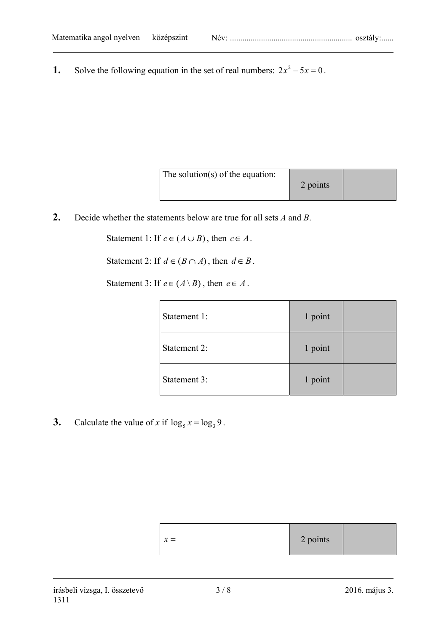**1.** Solve the following equation in the set of real numbers:  $2x^2 - 5x = 0$ .

| The solution(s) of the equation: | 2 points |  |
|----------------------------------|----------|--|
|----------------------------------|----------|--|

**2.** Decide whether the statements below are true for all sets *A* and *B*.

Statement 1: If  $c \in (A \cup B)$ , then  $c \in A$ .

Statement 2: If  $d \in (B \cap A)$ , then  $d \in B$ .

Statement 3: If  $e \in (A \setminus B)$ , then  $e \in A$ .

| Statement 1: | 1 point |  |
|--------------|---------|--|
| Statement 2: | 1 point |  |
| Statement 3: | 1 point |  |

**3.** Calculate the value of *x* if  $\log_5 x = \log_3 9$ .

| $x =$ | 2 points |  |
|-------|----------|--|
|-------|----------|--|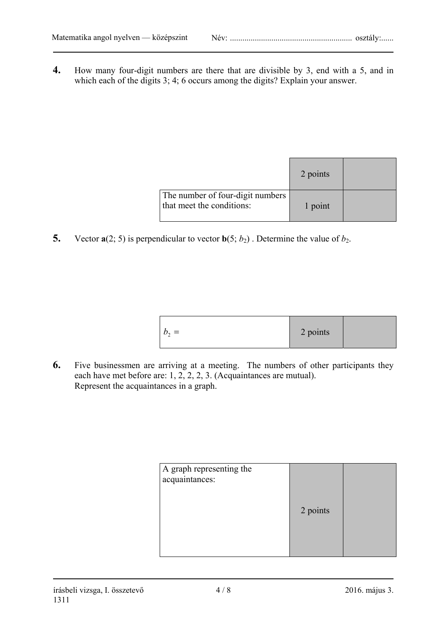**4.** How many four-digit numbers are there that are divisible by 3, end with a 5, and in which each of the digits 3; 4; 6 occurs among the digits? Explain your answer.

|                                                               | 2 points |  |
|---------------------------------------------------------------|----------|--|
| The number of four-digit numbers<br>that meet the conditions: | 1 point  |  |

**5.** Vector  $\mathbf{a}(2; 5)$  is perpendicular to vector  $\mathbf{b}(5; b_2)$ . Determine the value of  $b_2$ .

| $b_{\gamma} =$ | 2 points |  |
|----------------|----------|--|
|                |          |  |

**6.** Five businessmen are arriving at a meeting. The numbers of other participants they each have met before are: 1, 2, 2, 2, 3. (Acquaintances are mutual). Represent the acquaintances in a graph.

| A graph representing the<br>acquaintances: | 2 points |  |
|--------------------------------------------|----------|--|
|--------------------------------------------|----------|--|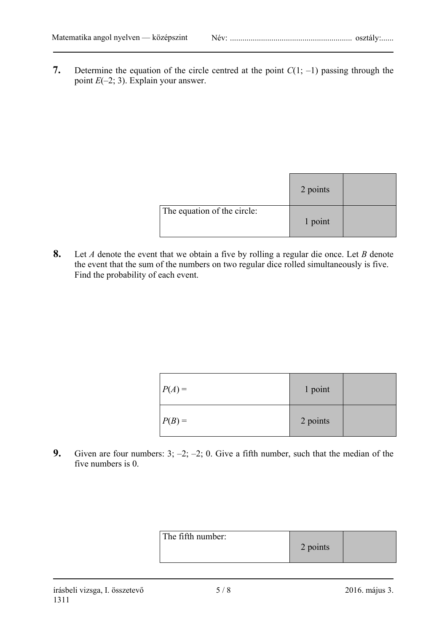**7.** Determine the equation of the circle centred at the point  $C(1; -1)$  passing through the point *E*(–2; 3). Explain your answer.

|                             | 2 points |  |
|-----------------------------|----------|--|
| The equation of the circle: | 1 point  |  |

**8.** Let *A* denote the event that we obtain a five by rolling a regular die once. Let *B* denote the event that the sum of the numbers on two regular dice rolled simultaneously is five. Find the probability of each event.

| $P(A) =$ | 1 point  |  |
|----------|----------|--|
| $P(B) =$ | 2 points |  |

**9.** Given are four numbers:  $3$ ;  $-2$ ;  $-2$ ; 0. Give a fifth number, such that the median of the five numbers is 0.

| The fifth number: | 2 points |
|-------------------|----------|
|-------------------|----------|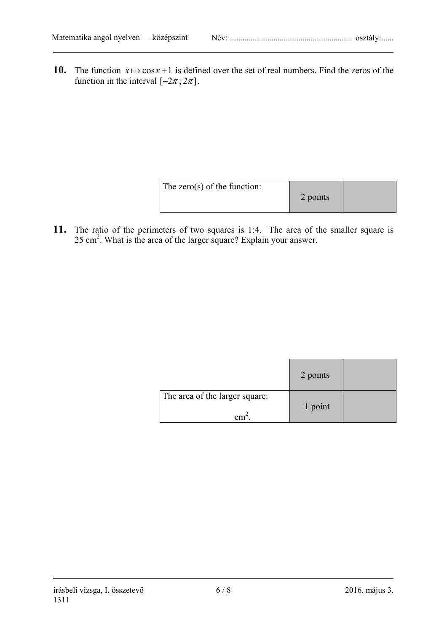**10.** The function  $x \mapsto \cos x + 1$  is defined over the set of real numbers. Find the zeros of the function in the interval  $[-2\pi; 2\pi]$ .

| The zero(s) of the function: | 2 points |  |
|------------------------------|----------|--|
|------------------------------|----------|--|

**11.** The ratio of the perimeters of two squares is 1:4. The area of the smaller square is 25 cm<sup>2</sup>. What is the area of the larger square? Explain your answer.

|                                | 2 points |  |
|--------------------------------|----------|--|
| The area of the larger square: |          |  |
|                                | 1 point  |  |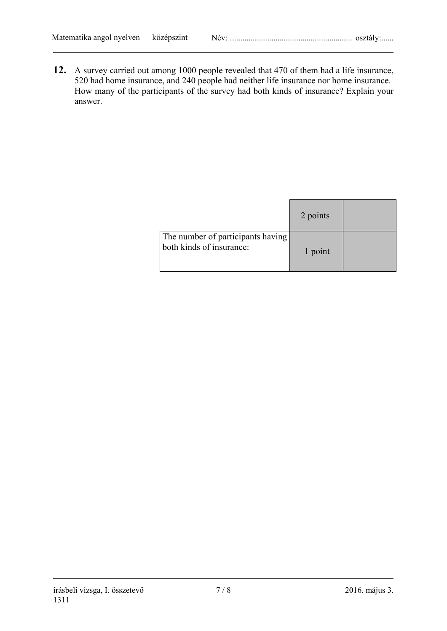**12.** A survey carried out among 1000 people revealed that 470 of them had a life insurance, 520 had home insurance, and 240 people had neither life insurance nor home insurance. How many of the participants of the survey had both kinds of insurance? Explain your answer.

|                                                               | 2 points |  |
|---------------------------------------------------------------|----------|--|
| The number of participants having<br>both kinds of insurance: | 1 point  |  |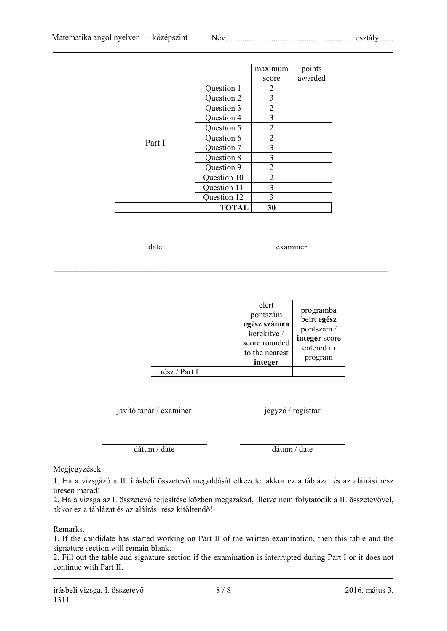|        |              | maximum        | points  |
|--------|--------------|----------------|---------|
|        |              | score          | awarded |
|        | Question 1   | 2              |         |
|        | Question 2   | 3              |         |
|        | Question 3   | 2              |         |
|        | Question 4   | 3              |         |
|        | Question 5   | 2              |         |
| Part I | Question 6   | $\overline{2}$ |         |
|        | Question 7   | 3              |         |
|        | Question 8   | 3              |         |
|        | Question 9   | 2              |         |
|        | Question 10  | 2              |         |
|        | Question 11  | 3              |         |
|        | Question 12  | 3              |         |
|        | <b>TOTAL</b> | 30             |         |

\_\_\_\_\_\_\_\_\_\_\_\_\_\_\_\_\_\_\_\_\_\_\_\_\_\_\_\_\_\_\_\_\_\_\_\_\_\_\_\_\_\_\_\_\_\_\_\_\_\_\_\_\_\_\_\_\_\_\_\_\_\_\_\_\_\_\_\_\_\_\_\_\_\_

date examiner

|                  | elért<br>pontszám<br>egész számra<br>kerekítve /<br>score rounded<br>to the nearest<br>integer | programba<br>beirt egész<br>pontszám /<br>integer score<br>entered in<br>program |
|------------------|------------------------------------------------------------------------------------------------|----------------------------------------------------------------------------------|
| I. rész / Part I |                                                                                                |                                                                                  |

javító tanár / examiner jegyző / registrar

dátum / date dátum / date

Megjegyzések:

1. Ha a vizsgázó a II. írásbeli összetevő megoldását elkezdte, akkor ez a táblázat és az aláírási rész üresen marad!

2. Ha a vizsga az I. összetevő teljesítése közben megszakad, illetve nem folytatódik a II. összetevővel, akkor ez a táblázat és az aláírási rész kitöltendő!

Remarks.

1. If the candidate has started working on Part II of the written examination, then this table and the signature section will remain blank.

2. Fill out the table and signature section if the examination is interrupted during Part I or it does not continue with Part II.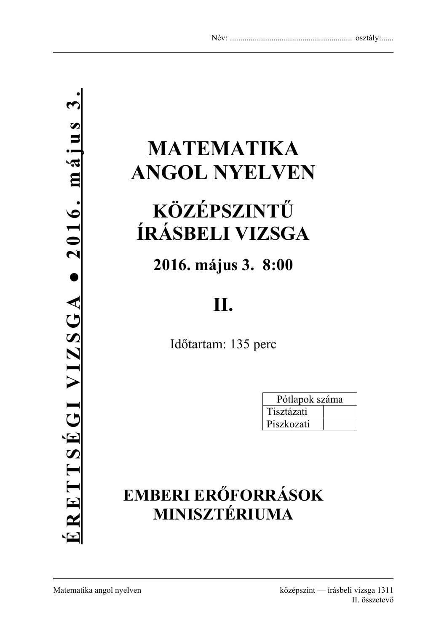# **MATEMATIKA ANGOL NYELVEN**

## **KÖZÉPSZINTŰ ÍRÁSBELI VIZSGA**

**2016. május 3. 8:00** 

## **II.**

Időtartam: 135 perc

| Pótlapok száma |  |  |  |  |
|----------------|--|--|--|--|
| Tisztázati     |  |  |  |  |
| Piszkozati     |  |  |  |  |

### **EMBERI ERŐFORRÁSOK MINISZTÉRIUMA**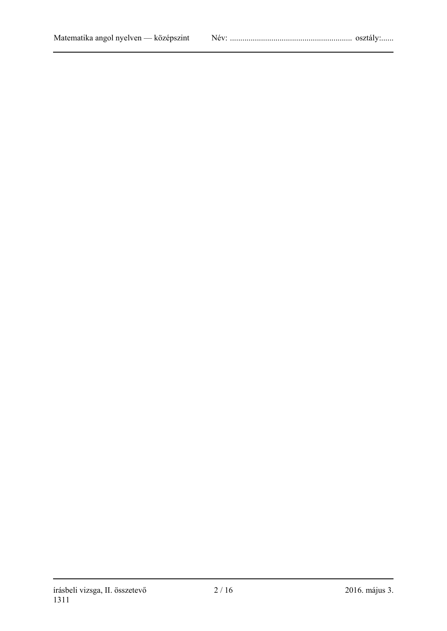|--|--|--|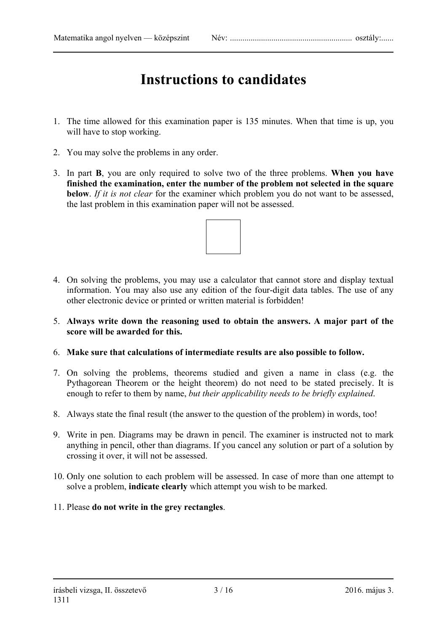### **Instructions to candidates**

- 1. The time allowed for this examination paper is 135 minutes. When that time is up, you will have to stop working.
- 2. You may solve the problems in any order.
- 3. In part **B**, you are only required to solve two of the three problems. **When you have finished the examination, enter the number of the problem not selected in the square below**. *If it is not clear* for the examiner which problem you do not want to be assessed, the last problem in this examination paper will not be assessed.



- 4. On solving the problems, you may use a calculator that cannot store and display textual information. You may also use any edition of the four-digit data tables. The use of any other electronic device or printed or written material is forbidden!
- 5. **Always write down the reasoning used to obtain the answers. A major part of the score will be awarded for this.**
- 6. **Make sure that calculations of intermediate results are also possible to follow.**
- 7. On solving the problems, theorems studied and given a name in class (e.g. the Pythagorean Theorem or the height theorem) do not need to be stated precisely. It is enough to refer to them by name, *but their applicability needs to be briefly explained*.
- 8. Always state the final result (the answer to the question of the problem) in words, too!
- 9. Write in pen. Diagrams may be drawn in pencil. The examiner is instructed not to mark anything in pencil, other than diagrams. If you cancel any solution or part of a solution by crossing it over, it will not be assessed.
- 10. Only one solution to each problem will be assessed. In case of more than one attempt to solve a problem, **indicate clearly** which attempt you wish to be marked.
- 11. Please **do not write in the grey rectangles**.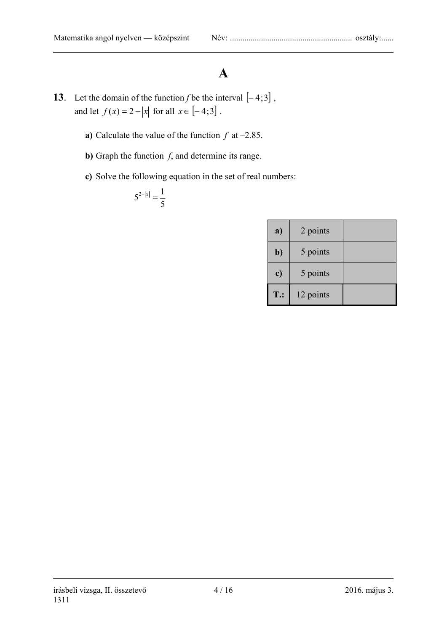#### Matematika angol nyelven — középszint Név: ........................................................... osztály:......

### **A**

- **13**. Let the domain of the function *f* be the interval  $[-4,3]$ , and let  $f(x) = 2 - |x|$  for all  $x \in [-4, 3]$ .
	- **a)** Calculate the value of the function *f* at –2.85.
	- **b)** Graph the function *f*, and determine its range.
	- **c)** Solve the following equation in the set of real numbers:

$$
5^{2-|x|} = \frac{1}{5}
$$

| a)         | 2 points  |  |
|------------|-----------|--|
| b)         | 5 points  |  |
| c)         | 5 points  |  |
| <b>T.:</b> | 12 points |  |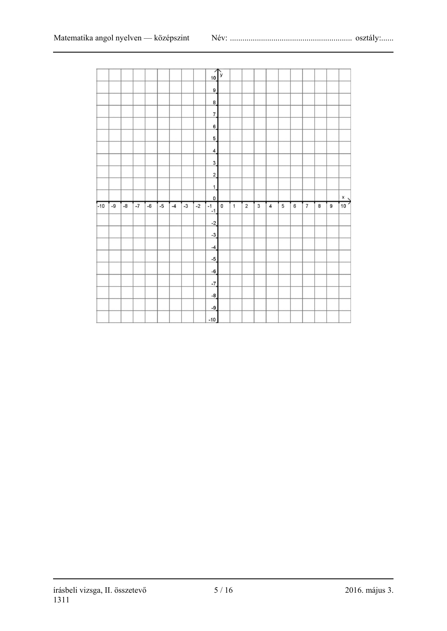Matematika angol nyelven — középszint Név: ........................................................... osztály:......

|       |    |                   |      |      |      |      |      |      | $\frac{1}{10}$             |   |             |                |                         |                |             |             |                |   |             |                |
|-------|----|-------------------|------|------|------|------|------|------|----------------------------|---|-------------|----------------|-------------------------|----------------|-------------|-------------|----------------|---|-------------|----------------|
|       |    |                   |      |      |      |      |      |      | $9-$                       |   |             |                |                         |                |             |             |                |   |             |                |
|       |    |                   |      |      |      |      |      |      |                            |   |             |                |                         |                |             |             |                |   |             |                |
|       |    |                   |      |      |      |      |      |      | 8 <sub>1</sub>             |   |             |                |                         |                |             |             |                |   |             |                |
|       |    |                   |      |      |      |      |      |      | $\overline{7}$             |   |             |                |                         |                |             |             |                |   |             |                |
|       |    |                   |      |      |      |      |      |      | $6 \overline{\phantom{0}}$ |   |             |                |                         |                |             |             |                |   |             |                |
|       |    |                   |      |      |      |      |      |      | $5-$                       |   |             |                |                         |                |             |             |                |   |             |                |
|       |    |                   |      |      |      |      |      |      | $\overline{4}$             |   |             |                |                         |                |             |             |                |   |             |                |
|       |    |                   |      |      |      |      |      |      | $\overline{\mathbf{3}}$    |   |             |                |                         |                |             |             |                |   |             |                |
|       |    |                   |      |      |      |      |      |      | $\overline{2}$             |   |             |                |                         |                |             |             |                |   |             |                |
|       |    |                   |      |      |      |      |      |      |                            |   |             |                |                         |                |             |             |                |   |             |                |
|       |    |                   |      |      |      |      |      |      | $\overline{1}$             |   |             |                |                         |                |             |             |                |   |             |                |
|       |    |                   |      |      |      |      |      |      | $\mathbf 0$                |   |             |                |                         |                |             |             |                |   |             | $\frac{x}{10}$ |
| $-10$ | -9 | $\textnormal{-}8$ | $-7$ | $-6$ | $-5$ | $-4$ | $-3$ | $-2$ | $\frac{1}{1}$              | 0 | $\mathbf 1$ | $\overline{2}$ | $\overline{\mathbf{3}}$ | $\overline{4}$ | $\mathbf 5$ | $\mathbf 6$ | $\overline{7}$ | 8 | $\mathsf g$ |                |
|       |    |                   |      |      |      |      |      |      |                            |   |             |                |                         |                |             |             |                |   |             |                |
|       |    |                   |      |      |      |      |      |      |                            |   |             |                |                         |                |             |             |                |   |             |                |
|       |    |                   |      |      |      |      |      |      | $-2$                       |   |             |                |                         |                |             |             |                |   |             |                |
|       |    |                   |      |      |      |      |      |      | $-3$                       |   |             |                |                         |                |             |             |                |   |             |                |
|       |    |                   |      |      |      |      |      |      | $-4$                       |   |             |                |                         |                |             |             |                |   |             |                |
|       |    |                   |      |      |      |      |      |      | $-5$                       |   |             |                |                         |                |             |             |                |   |             |                |
|       |    |                   |      |      |      |      |      |      | $-6$                       |   |             |                |                         |                |             |             |                |   |             |                |
|       |    |                   |      |      |      |      |      |      | $-7$                       |   |             |                |                         |                |             |             |                |   |             |                |
|       |    |                   |      |      |      |      |      |      | $-8$                       |   |             |                |                         |                |             |             |                |   |             |                |
|       |    |                   |      |      |      |      |      |      | $-9$                       |   |             |                |                         |                |             |             |                |   |             |                |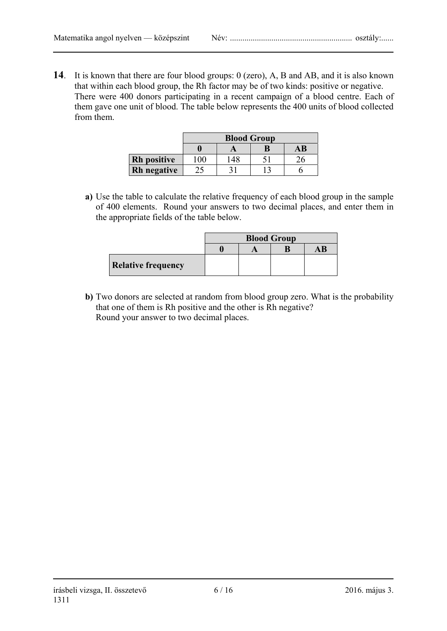**14**. It is known that there are four blood groups: 0 (zero), A, B and AB, and it is also known that within each blood group, the Rh factor may be of two kinds: positive or negative. There were 400 donors participating in a recent campaign of a blood centre. Each of them gave one unit of blood. The table below represents the 400 units of blood collected from them.

|                    |            | <b>Blood Group</b> |    |    |  |  |  |  |  |  |
|--------------------|------------|--------------------|----|----|--|--|--|--|--|--|
|                    |            |                    |    | AВ |  |  |  |  |  |  |
| <b>Rh</b> positive | $100^{-1}$ | 48                 |    |    |  |  |  |  |  |  |
| <b>Rh</b> negative |            |                    | 13 |    |  |  |  |  |  |  |

**a)** Use the table to calculate the relative frequency of each blood group in the sample of 400 elements. Round your answers to two decimal places, and enter them in the appropriate fields of the table below.

|                           |  | <b>Blood Group</b> |  |
|---------------------------|--|--------------------|--|
|                           |  |                    |  |
| <b>Relative frequency</b> |  |                    |  |

**b)** Two donors are selected at random from blood group zero. What is the probability that one of them is Rh positive and the other is Rh negative? Round your answer to two decimal places.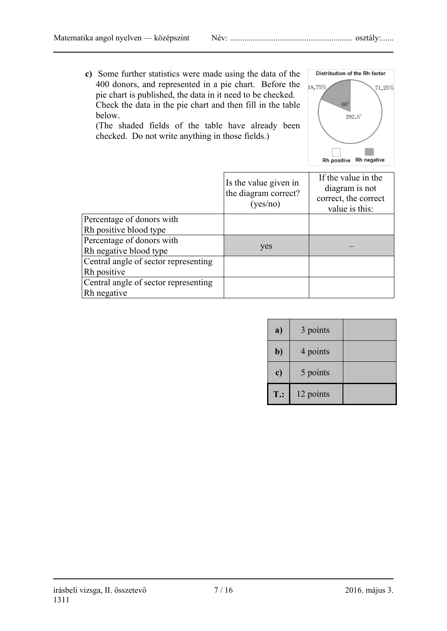**c)** Some further statistics were made using the data of the 400 donors, and represented in a pie chart. Before the pie chart is published, the data in it need to be checked. Check the data in the pie chart and then fill in the table below.

(The shaded fields of the table have already been checked. Do not write anything in those fields.)



|                                      | Is the value given in<br>the diagram correct?<br>(yes/no) | If the value in the<br>diagram is not<br>correct, the correct<br>value is this: |
|--------------------------------------|-----------------------------------------------------------|---------------------------------------------------------------------------------|
| Percentage of donors with            |                                                           |                                                                                 |
| Rh positive blood type               |                                                           |                                                                                 |
| Percentage of donors with            |                                                           |                                                                                 |
| Rh negative blood type               | yes                                                       |                                                                                 |
| Central angle of sector representing |                                                           |                                                                                 |
| Rh positive                          |                                                           |                                                                                 |
| Central angle of sector representing |                                                           |                                                                                 |
| Rh negative                          |                                                           |                                                                                 |

| a)            | 3 points  |  |
|---------------|-----------|--|
| $\mathbf{b}$  | 4 points  |  |
| $\mathbf{c})$ | 5 points  |  |
| <b>T.:</b>    | 12 points |  |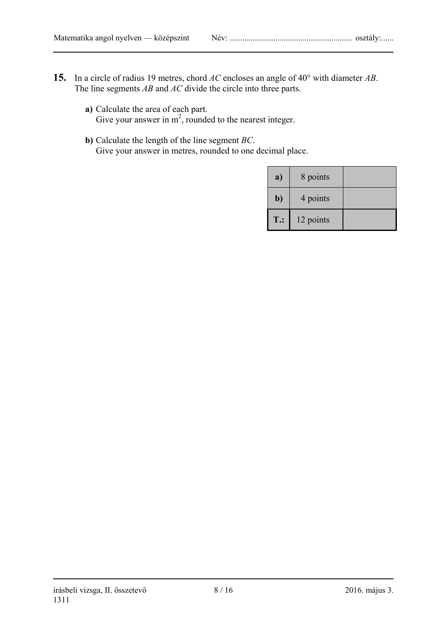- **15.** In a circle of radius 19 metres, chord *AC* encloses an angle of 40° with diameter *AB*. The line segments *AB* and *AC* divide the circle into three parts.
	- **a)** Calculate the area of each part. Give your answer in  $m^2$ , rounded to the nearest integer.
		- **b)** Calculate the length of the line segment *BC*. Give your answer in metres, rounded to one decimal place.

| a)           | 8 points  |  |
|--------------|-----------|--|
| $\mathbf{b}$ | 4 points  |  |
| $T$ .:       | 12 points |  |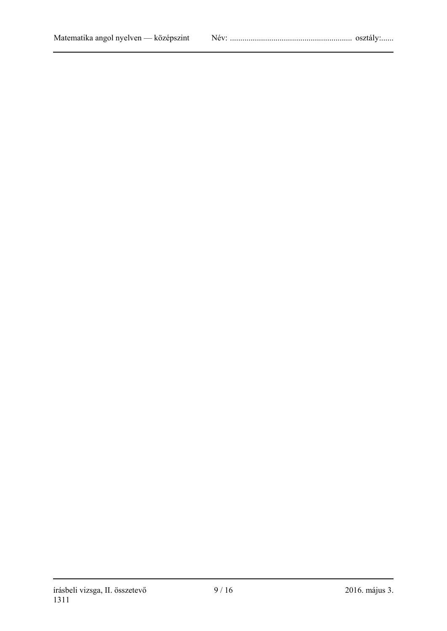|--|--|--|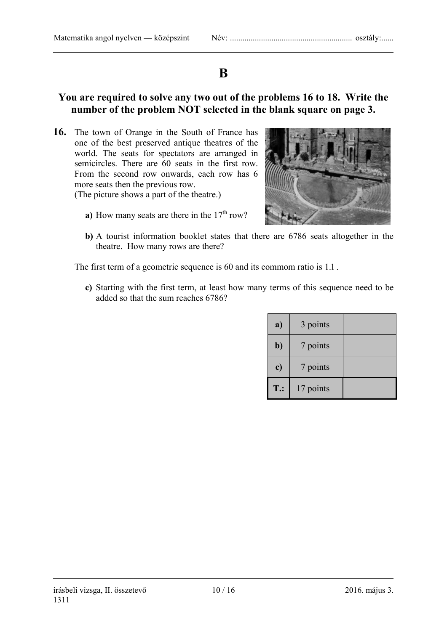Matematika angol nyelven — középszint Név: ........................................................... osztály:......

### **B**

#### **You are required to solve any two out of the problems 16 to 18. Write the number of the problem NOT selected in the blank square on page 3.**

**16.** The town of Orange in the South of France has one of the best preserved antique theatres of the world. The seats for spectators are arranged in semicircles. There are 60 seats in the first row. From the second row onwards, each row has 6 more seats then the previous row.

(The picture shows a part of the theatre.)

- **a**) How many seats are there in the  $17<sup>th</sup>$  row?
- **b)** A tourist information booklet states that there are 6786 seats altogether in the theatre. How many rows are there?

The first term of a geometric sequence is 60 and its commom ratio is 1.1.

**c)** Starting with the first term, at least how many terms of this sequence need to be added so that the sum reaches 6786?

| a)         | 3 points  |  |
|------------|-----------|--|
| $b$        | 7 points  |  |
| c)         | 7 points  |  |
| <b>T.:</b> | 17 points |  |

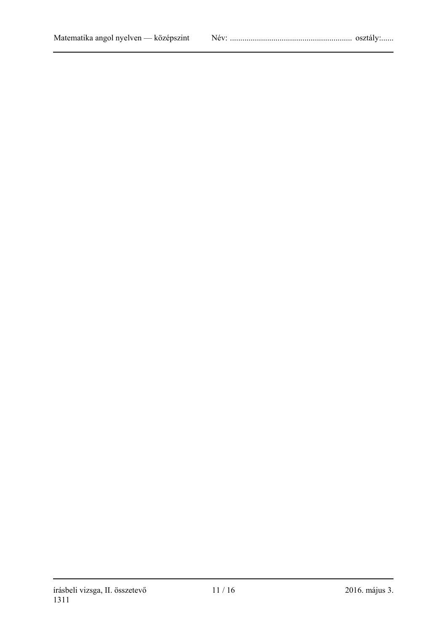|--|--|--|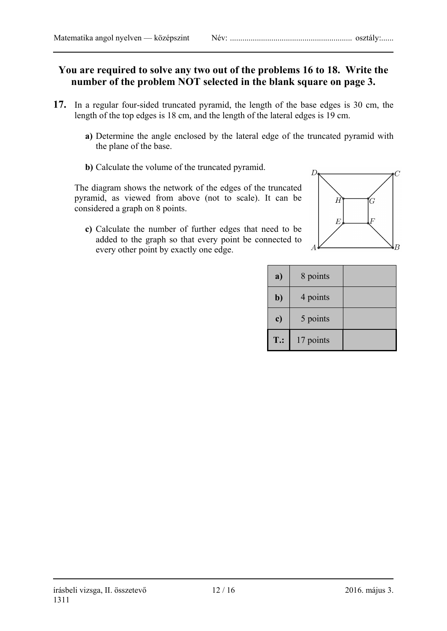#### **You are required to solve any two out of the problems 16 to 18. Write the number of the problem NOT selected in the blank square on page 3.**

- **17.** In a regular four-sided truncated pyramid, the length of the base edges is 30 cm, the length of the top edges is 18 cm, and the length of the lateral edges is 19 cm.
	- **a)** Determine the angle enclosed by the lateral edge of the truncated pyramid with the plane of the base.
	- **b)** Calculate the volume of the truncated pyramid.

The diagram shows the network of the edges of the truncated pyramid, as viewed from above (not to scale). It can be considered a graph on 8 points.

**c)** Calculate the number of further edges that need to be added to the graph so that every point be connected to every other point by exactly one edge.



| a)     | 8 points  |  |
|--------|-----------|--|
| b)     | 4 points  |  |
| c)     | 5 points  |  |
| $T$ .: | 17 points |  |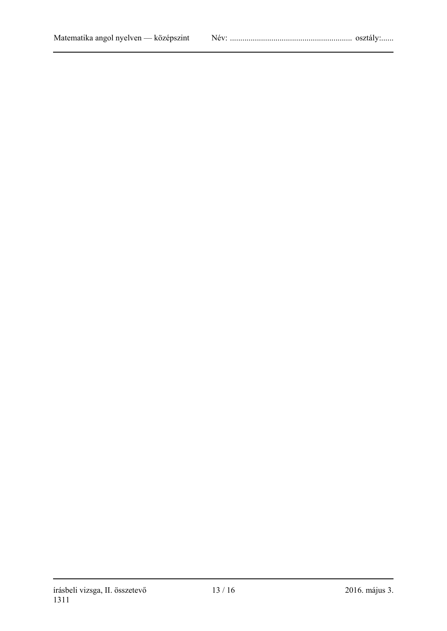|--|--|--|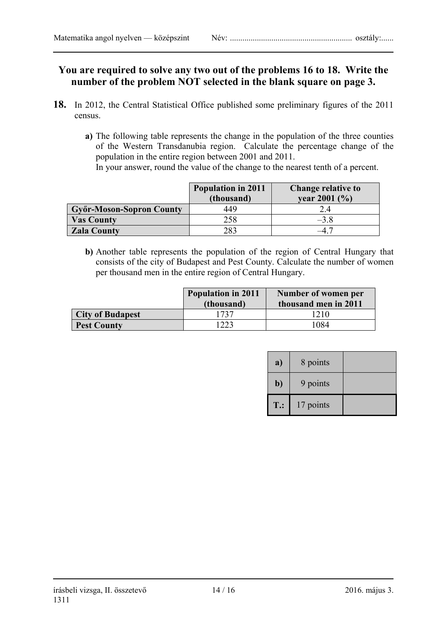#### **You are required to solve any two out of the problems 16 to 18. Write the number of the problem NOT selected in the blank square on page 3.**

- **18.** In 2012, the Central Statistical Office published some preliminary figures of the 2011 census.
	- **a)** The following table represents the change in the population of the three counties of the Western Transdanubia region. Calculate the percentage change of the population in the entire region between 2001 and 2011.

In your answer, round the value of the change to the nearest tenth of a percent.

|                                 | <b>Population in 2011</b> | Change relative to |
|---------------------------------|---------------------------|--------------------|
|                                 | (thousand)                | year $2001 (%)$    |
| <b>Győr-Moson-Sopron County</b> | 449                       |                    |
| <b>Vas County</b>               | 258                       | $-3.8$             |
| <b>Zala County</b>              | 283                       |                    |

**b)** Another table represents the population of the region of Central Hungary that consists of the city of Budapest and Pest County. Calculate the number of women per thousand men in the entire region of Central Hungary.

|                         | <b>Population in 2011</b><br>(thousand) | Number of women per<br>thousand men in 2011 |
|-------------------------|-----------------------------------------|---------------------------------------------|
| <b>City of Budapest</b> | 1737                                    | 1210.                                       |
| <b>Pest County</b>      |                                         | 1084                                        |

| a)           | 8 points  |  |
|--------------|-----------|--|
| $\mathbf{b}$ | 9 points  |  |
| $T$ .:       | 17 points |  |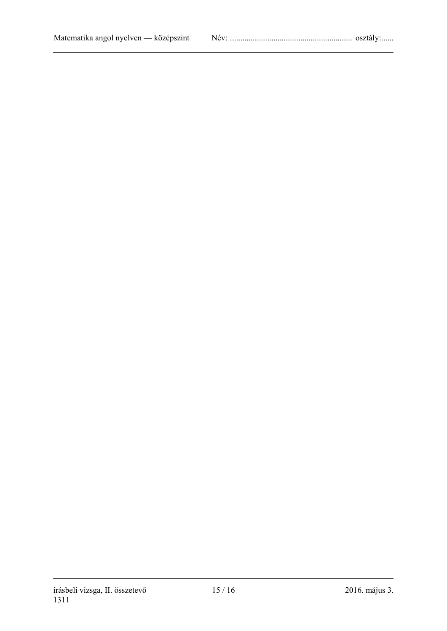|--|--|--|